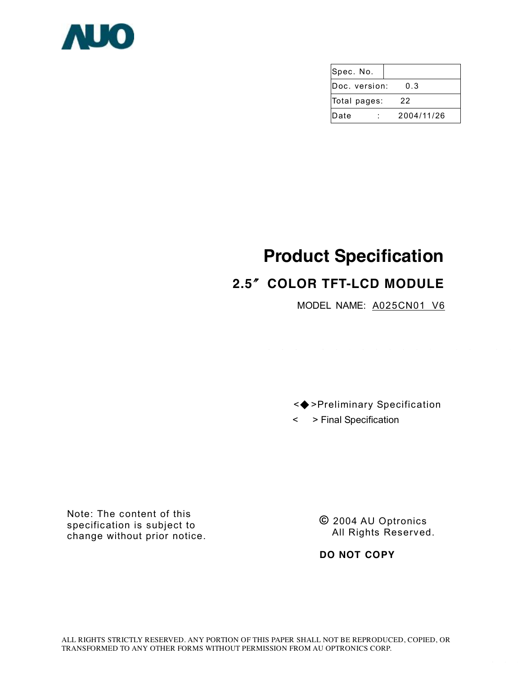

| Spec. No.     |            |
|---------------|------------|
| Doc. version: | 0.3        |
| Total pages:  | 22         |
| Date          | 2004/11/26 |

# **Product Specification**

# **2.5**〞**COLOR TFT-LCD MODULE**

MODEL NAME: A025CN01 V6

 <◆ >Preliminary Specification < > Final Specification

Note: The content of this specification is subject to change without prior notice.

**©** 2004 AU Optronics All Rights Reserved.

**DO NOT COPY**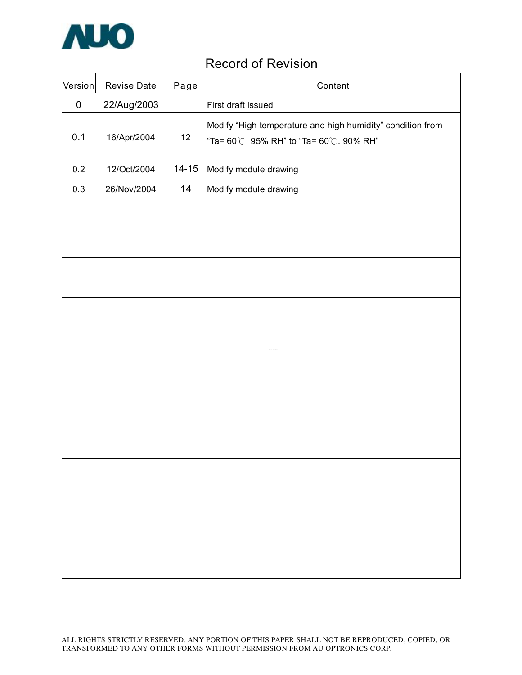

# Record of Revision

| Version   | Revise Date | Page      | Content                                                                                                |
|-----------|-------------|-----------|--------------------------------------------------------------------------------------------------------|
| $\pmb{0}$ | 22/Aug/2003 |           | First draft issued                                                                                     |
| 0.1       | 16/Apr/2004 | 12        | Modify "High temperature and high humidity" condition from<br>"Ta= 60°C. 95% RH" to "Ta= 60°C. 90% RH" |
| 0.2       | 12/Oct/2004 | $14 - 15$ | Modify module drawing                                                                                  |
| 0.3       | 26/Nov/2004 | 14        | Modify module drawing                                                                                  |
|           |             |           |                                                                                                        |
|           |             |           |                                                                                                        |
|           |             |           |                                                                                                        |
|           |             |           |                                                                                                        |
|           |             |           |                                                                                                        |
|           |             |           |                                                                                                        |
|           |             |           |                                                                                                        |
|           |             |           |                                                                                                        |
|           |             |           |                                                                                                        |
|           |             |           |                                                                                                        |
|           |             |           |                                                                                                        |
|           |             |           |                                                                                                        |
|           |             |           |                                                                                                        |
|           |             |           |                                                                                                        |
|           |             |           |                                                                                                        |
|           |             |           |                                                                                                        |
|           |             |           |                                                                                                        |
|           |             |           |                                                                                                        |
|           |             |           |                                                                                                        |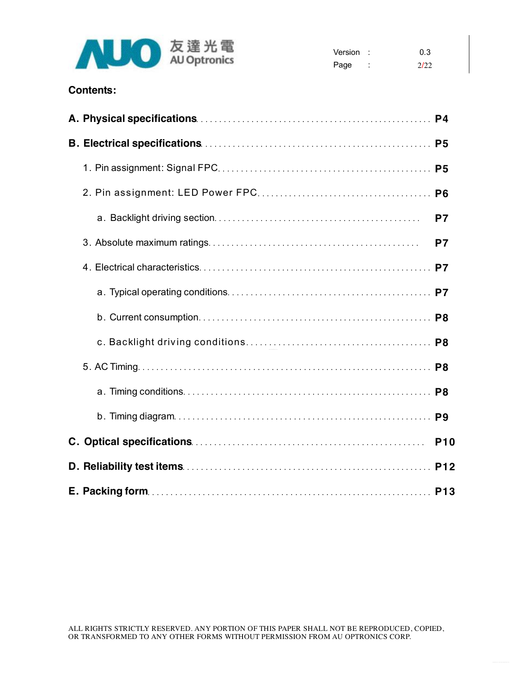

| Version : |   | 0.3  |
|-----------|---|------|
| Page      | ٠ | 2122 |

## **Contents:**

|  | P <sub>6</sub>  |
|--|-----------------|
|  | P7              |
|  | P <sub>7</sub>  |
|  |                 |
|  |                 |
|  |                 |
|  |                 |
|  |                 |
|  |                 |
|  | P <sub>9</sub>  |
|  | P <sub>10</sub> |
|  |                 |
|  |                 |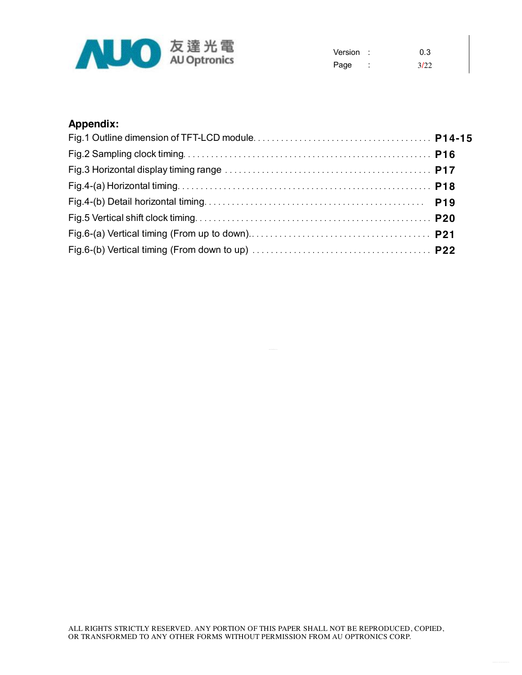

| Version: |   | 0.3  |
|----------|---|------|
| Page     | ٠ | 3/22 |

# **Appendix:**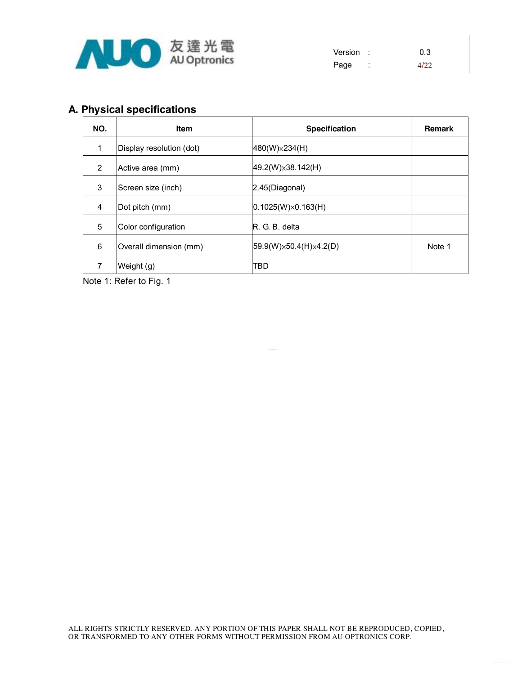

| Version : |        | 0.3   |
|-----------|--------|-------|
| Page      | ٠<br>٠ | 4/2.2 |

# **A. Physical specifications**

| NO.          | <b>Item</b>              | <b>Specification</b>                 | <b>Remark</b> |
|--------------|--------------------------|--------------------------------------|---------------|
| $\mathbf{1}$ | Display resolution (dot) | 480(W)×234(H)                        |               |
| 2            | Active area (mm)         | $ 49.2(W)\times38.142(H) $           |               |
| 3            | Screen size (inch)       | 2.45(Diagonal)                       |               |
| 4            | Dot pitch (mm)           | $(0.1025(W)\times 0.163(H))$         |               |
| 5            | Color configuration      | R. G. B. delta                       |               |
| 6            | Overall dimension (mm)   | $ 59.9(W)\times50.4(H)\times4.2(D) $ | Note 1        |
| 7            | Weight (g)               | TBD                                  |               |

Note 1: Refer to Fig. 1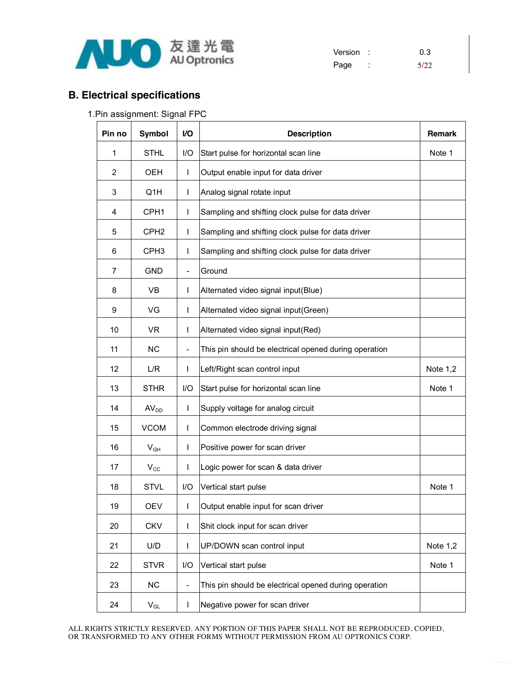

Version : 0.3 Page : 5/22

## **B. Electrical specifications**

|  | 1. Pin assignment: Signal FPC |  |  |  |
|--|-------------------------------|--|--|--|
|--|-------------------------------|--|--|--|

| Pin no         | <b>Symbol</b>              | V <sub>O</sub>           | <b>Description</b>                                    | <b>Remark</b> |
|----------------|----------------------------|--------------------------|-------------------------------------------------------|---------------|
| 1              | <b>STHL</b>                | I/O                      | Start pulse for horizontal scan line                  | Note 1        |
| $\overline{2}$ | OEH                        | $\mathbf{I}$             | Output enable input for data driver                   |               |
| 3              | Q1H                        | $\mathsf{L}$             | Analog signal rotate input                            |               |
| 4              | CPH <sub>1</sub>           | $\mathsf{L}$             | Sampling and shifting clock pulse for data driver     |               |
| 5              | CPH <sub>2</sub>           | $\mathsf{L}$             | Sampling and shifting clock pulse for data driver     |               |
| 6              | CPH <sub>3</sub>           | $\mathbf{I}$             | Sampling and shifting clock pulse for data driver     |               |
| 7              | <b>GND</b>                 | $\overline{\phantom{a}}$ | Ground                                                |               |
| 8              | VB                         | T                        | Alternated video signal input(Blue)                   |               |
| 9              | VG                         | $\mathbf{I}$             | Alternated video signal input(Green)                  |               |
| 10             | <b>VR</b>                  | L                        | Alternated video signal input(Red)                    |               |
| 11             | <b>NC</b>                  | $\overline{\phantom{a}}$ | This pin should be electrical opened during operation |               |
| 12             | L/R                        | L                        | Left/Right scan control input                         | Note 1,2      |
| 13             | <b>STHR</b>                | 1/O                      | Start pulse for horizontal scan line                  | Note 1        |
| 14             | AV <sub>DD</sub>           | L                        | Supply voltage for analog circuit                     |               |
| 15             | <b>VCOM</b>                | T                        | Common electrode driving signal                       |               |
| 16             | $V_{GH}$                   | L                        | Positive power for scan driver                        |               |
| 17             | $V_{\rm CC}$               | L                        | Logic power for scan & data driver                    |               |
| 18             | <b>STVL</b>                | I/O                      | Vertical start pulse                                  | Note 1        |
| 19             | OEV                        | L                        | Output enable input for scan driver                   |               |
| 20             | <b>CKV</b>                 | T                        | Shit clock input for scan driver                      |               |
| 21             | U/D                        | L                        | UP/DOWN scan control input                            | Note $1,2$    |
| 22             | <b>STVR</b>                | I/O                      | Vertical start pulse                                  | Note 1        |
| 23             | NC                         | $\overline{\phantom{a}}$ | This pin should be electrical opened during operation |               |
| 24             | $\mathsf{V}_{\mathsf{GL}}$ | L                        | Negative power for scan driver                        |               |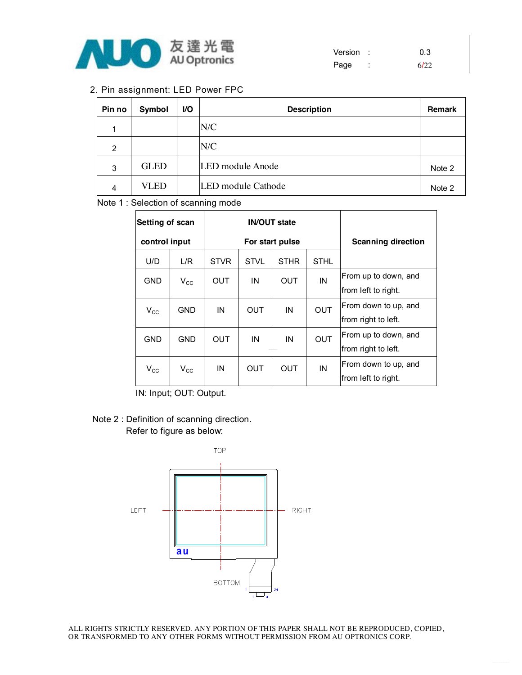

| Version : |   | 0.3  |
|-----------|---|------|
| Page      | ٠ | 6122 |

#### 2. Pin assignment: LED Power FPC

| Pin no | Symbol      | <b>VO</b> | <b>Description</b> | <b>Remark</b> |
|--------|-------------|-----------|--------------------|---------------|
| -1     |             |           | N/C                |               |
| 2      |             |           | N/C                |               |
| 3      | <b>GLED</b> |           | LED module Anode   | Note 2        |
| 4      | VLED        |           | LED module Cathode | Note 2        |

Note 1 : Selection of scanning mode

|               | Setting of scan |             |             | <b>IN/OUT state</b> |                           |                      |
|---------------|-----------------|-------------|-------------|---------------------|---------------------------|----------------------|
| control input |                 |             |             | For start pulse     | <b>Scanning direction</b> |                      |
| U/D           | L/R             | <b>STVR</b> | <b>STVL</b> | <b>STHR</b>         | <b>STHL</b>               |                      |
| GND           | $V_{\rm CC}$    | <b>OUT</b>  | IN          | <b>OUT</b>          | IN                        | From up to down, and |
|               |                 |             |             |                     |                           | from left to right.  |
| $V_{\rm CC}$  | GND             | IN          | OUT         | IN                  | <b>OUT</b>                | From down to up, and |
|               |                 |             |             |                     |                           | from right to left.  |
| <b>GND</b>    | <b>GND</b>      | OUT         | ΙN          | IN                  | <b>OUT</b>                | From up to down, and |
|               |                 |             |             |                     |                           | from right to left.  |
| $V_{\rm CC}$  | $V_{\rm CC}$    | IN          | OUT         | OUT                 | IN                        | From down to up, and |
|               |                 |             |             |                     |                           | from left to right.  |

IN: Input; OUT: Output.

#### Note 2 : Definition of scanning direction. Refer to figure as below:

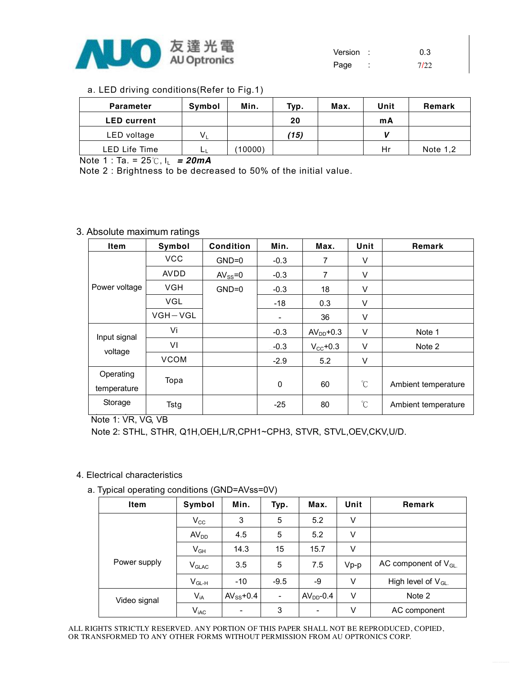

| Version |   | 0.3  |
|---------|---|------|
| Page    | ٠ | 7122 |

|  | a. LED driving conditions(Refer to Fig.1) |  |
|--|-------------------------------------------|--|
|  |                                           |  |

| <b>Parameter</b>   | Symbol                    | Min.    | Typ. | Max. | Unit | Remark     |
|--------------------|---------------------------|---------|------|------|------|------------|
| <b>LED</b> current |                           |         | 20   |      | mA   |            |
| LED voltage        | $\mathsf{V}_{\mathsf{L}}$ |         | (15) |      |      |            |
| LED Life Time      | ĿЦ                        | (10000) |      |      | Hr   | Note $1,2$ |

Note 1 : Ta. = 25℃, IL *= 20mA* 

Note 2 : Brightness to be decreased to 50% of the initial value.

#### 3. Absolute maximum ratings

| <b>Item</b>              | Symbol      | <b>Condition</b> | Min.                     | Max.                 | Unit         | Remark              |
|--------------------------|-------------|------------------|--------------------------|----------------------|--------------|---------------------|
|                          | <b>VCC</b>  | $GND=0$          | $-0.3$                   | 7                    | V            |                     |
|                          | <b>AVDD</b> | $AV_{SS} = 0$    | $-0.3$                   | 7                    | V            |                     |
| Power voltage            | <b>VGH</b>  | $GND=0$          | $-0.3$                   | 18                   | V            |                     |
|                          | <b>VGL</b>  |                  | $-18$                    | 0.3                  | V            |                     |
|                          | $VGH-VGL$   |                  | $\overline{\phantom{a}}$ | 36                   | V            |                     |
| Input signal             | Vi          |                  | $-0.3$                   | $AVDD+0.3$           | V            | Note 1              |
| voltage                  | VI          |                  | $-0.3$                   | $V_{\text{cc}}$ +0.3 | V            | Note 2              |
|                          | <b>VCOM</b> |                  | $-2.9$                   | 5.2                  | V            |                     |
| Operating<br>temperature | Topa        |                  | 0                        | 60                   | $^{\circ}$ C | Ambient temperature |
| Storage                  | Tstg        |                  | $-25$                    | 80                   | $\mathrm{C}$ | Ambient temperature |

Note 1: VR, VG, VB

Note 2: STHL, STHR, Q1H,OEH,L/R,CPH1~CPH3, STVR, STVL,OEV,CKV,U/D.

#### 4. Electrical characteristics

a. Typical operating conditions (GND=AVss=0V)

| Item         | Symbol            | Min.                     | Typ.                     | Max.                     | Unit   | Remark                   |
|--------------|-------------------|--------------------------|--------------------------|--------------------------|--------|--------------------------|
|              | $V_{\rm CC}$      | 3                        | 5                        | 5.2                      | V      |                          |
|              | AV <sub>DD</sub>  | 4.5                      | 5                        | 5.2                      | V      |                          |
|              | $V_{GH}$          | 14.3                     | 15                       | 15.7                     | V      |                          |
| Power supply | V <sub>GLAC</sub> | 3.5                      | 5                        | 7.5                      | $Vp-p$ | AC component of $V_{GL}$ |
|              | $V_{GL-H}$        | $-10$                    | $-9.5$                   | -9                       | V      | High level of $V_{GL}$   |
| Video signal | $V_{iA}$          | $AV_{SS}$ +0.4           | $\overline{\phantom{a}}$ | $AVDD-0.4$               | V      | Note 2                   |
|              | $V_{iAC}$         | $\overline{\phantom{0}}$ | 3                        | $\overline{\phantom{a}}$ | V      | AC component             |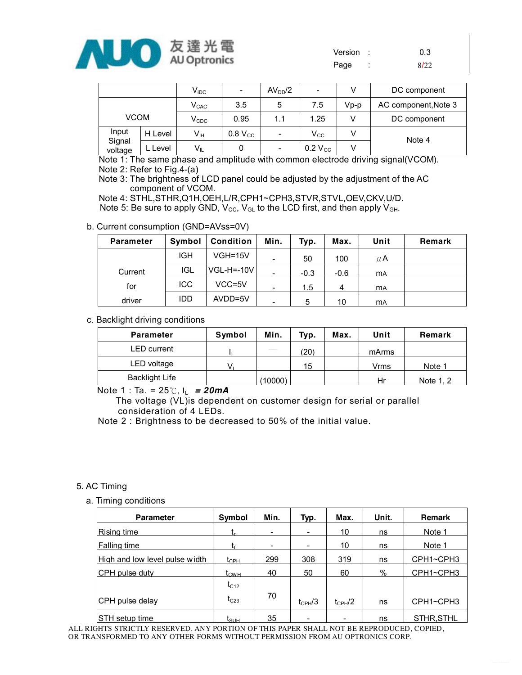

| Version | 0.3  |
|---------|------|
| Page    | 8/22 |

|                   |         | $\mathsf{V}_{\mathsf{iDC}}$ | $\overline{\phantom{0}}$ | AV <sub>DD</sub> /2      | -                   | v    | DC component         |
|-------------------|---------|-----------------------------|--------------------------|--------------------------|---------------------|------|----------------------|
|                   |         | $V_{CAC}$                   | 3.5                      | 5                        | 7.5                 | Vp-p | AC component, Note 3 |
| <b>VCOM</b>       |         | $V_{CDC}$                   | 0.95                     | 1.1                      | 1.25                |      | DC component         |
| Input             | H Level | Vн                          | 0.8 V <sub>cc</sub>      | ٠                        | $V_{\rm CC}$        |      | Note 4               |
| Signal<br>voltage | L Level | $V_{IL}$                    | 0                        | $\overline{\phantom{a}}$ | $0.2 V_{\text{CC}}$ |      |                      |

Note 1: The same phase and amplitude with common electrode driving signal(VCOM). Note 2: Refer to Fig.4-(a)

Note 3: The brightness of LCD panel could be adjusted by the adjustment of the AC component of VCOM.

Note 4: STHL,STHR,Q1H,OEH,L/R,CPH1~CPH3,STVR,STVL,OEV,CKV,U/D. Note 5: Be sure to apply GND,  $V_{\text{CC}}$ ,  $V_{\text{GL}}$  to the LCD first, and then apply  $V_{\text{GH}}$ .

#### b. Current consumption (GND=AVss=0V)

| <b>Parameter</b> | Symbol     | <b>Condition</b> | Min.                     | Typ.   | Max.   | Unit      | Remark |
|------------------|------------|------------------|--------------------------|--------|--------|-----------|--------|
|                  | <b>IGH</b> | $VGH=15V$        | $\overline{\phantom{a}}$ | 50     | 100    | $\mu$ A   |        |
| Current          | <b>IGL</b> | $VGL-H = -10V$   | $\overline{\phantom{a}}$ | $-0.3$ | $-0.6$ | <b>MA</b> |        |
| for              | <b>ICC</b> | VCC=5V           | $\overline{\phantom{a}}$ | 1.5    |        | <b>MA</b> |        |
| driver           | IDD        | AVDD=5V          | -                        | 5      | 10     | <b>MA</b> |        |

#### c. Backlight driving conditions

| <b>Parameter</b>      | Symbol | Min.              | Typ. | Max. | Unit  | Remark    |
|-----------------------|--------|-------------------|------|------|-------|-----------|
| LED current           |        | <b>CONTRACTOR</b> | (20) |      | mArms |           |
| LED voltage           |        |                   | 15   |      | Vrms  | Note 1    |
| <b>Backlight Life</b> |        | (10000)           |      |      | Hr    | Note 1, 2 |

Note 1 : Ta. = 25℃, IL *= 20mA* 

 The voltage (VL)is dependent on customer design for serial or parallel consideration of 4 LEDs.

Note 2 : Brightness to be decreased to 50% of the initial value.

#### 5. AC Timing

a. Timing conditions

| <b>Parameter</b>               | Symbol           | Min. | Typ.                     | Max.         | Unit. | <b>Remark</b> |
|--------------------------------|------------------|------|--------------------------|--------------|-------|---------------|
| Rising time                    | l r.             | -    | $\overline{\phantom{a}}$ | 10           | ns    | Note 1        |
| <b>Falling time</b>            |                  |      |                          | 10           | ns    | Note 1        |
| High and low level pulse width | t <sub>сен</sub> | 299  | 308                      | 319          | ns    | CPH1~CPH3     |
| CPH pulse duty                 | $t_{\text{CWH}}$ | 40   | 50                       | 60           | %     | CPH1~CPH3     |
|                                | $t_{C12}$        |      |                          |              |       |               |
| CPH pulse delay                | $t_{C23}$        | 70   | $t_{CPH}$ /3             | $t_{CPH}$ /2 | ns    | CPH1~CPH3     |
| <b>STH</b> setup time          | l <sub>SUН</sub> | 35   | $\overline{\phantom{0}}$ |              | ns    | STHR.STHL     |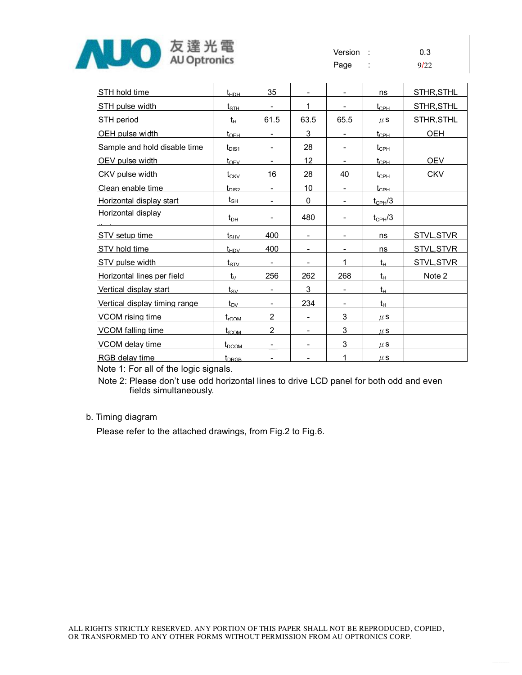

| STH hold time                 | $t_{\text{HDH}}$          | 35                       |                          |                          | ns                                     | STHR, STHL        |
|-------------------------------|---------------------------|--------------------------|--------------------------|--------------------------|----------------------------------------|-------------------|
| STH pulse width               | $t_{\scriptstyle\rm STH}$ | $\overline{\phantom{0}}$ | 1                        |                          | $t_{\rm CPH}$                          | STHR, STHL        |
| STH period                    | $t_{\rm H}$               | 61.5                     | 63.5                     | 65.5                     | $\mu$ S                                | <b>STHR, STHL</b> |
| OEH pulse width               | $t_{\text{OEH}}$          |                          | 3                        |                          | $t_{\scriptscriptstyle{\mathrm{CPH}}}$ | <b>OEH</b>        |
| Sample and hold disable time  | $t_{\rm DIS1}$            | $\overline{\phantom{0}}$ | 28                       | $\overline{\phantom{0}}$ | $t_{\rm CPH}$                          |                   |
| OEV pulse width               | $t_{\rm OFV}$             |                          | 12                       |                          | $t_{\rm CPH}$                          | <b>OEV</b>        |
| CKV pulse width               | $t_{CKV}$                 | 16                       | 28                       | 40                       | $t_{\text{CPH}}$                       | <b>CKV</b>        |
| Clean enable time             | $t_{DIS2}$                | $\overline{\phantom{0}}$ | 10                       |                          | $t_{\text{CPH}}$                       |                   |
| Horizontal display start      | $t_{\mathsf{SH}}$         |                          | 0                        |                          | $t_{\text{CPH}}/3$                     |                   |
| Horizontal display            | $t_{DH}$                  |                          | 480                      |                          | $t_{CPH}$ /3                           |                   |
| STV setup time                | $t_{\rm{SUV}}$            | 400                      | $\overline{\phantom{a}}$ |                          | ns                                     | <b>STVL, STVR</b> |
| STV hold time                 | $t_{HDV}$                 | 400                      | -                        | -                        | ns                                     | <b>STVL, STVR</b> |
| STV pulse width               | $t_{\rm{STV}}$            |                          | -                        | 1                        | $t_{H}$                                | STVL, STVR        |
| Horizontal lines per field    | $t_{\vee}$                | 256                      | 262                      | 268                      | $t_H$                                  | Note 2            |
| Vertical display start        | $t_{\rm sv}$              | $\overline{\phantom{a}}$ | 3                        | $\overline{\phantom{a}}$ | $t_{H}$                                |                   |
| Vertical display timing range | $t_{\text{DY}}$           | $\overline{\phantom{0}}$ | 234                      |                          | $t_{\rm H}$                            |                   |
| <b>VCOM</b> rising time       | $t_{\text{rCOM}}$         | $\overline{2}$           | $\overline{\phantom{0}}$ | 3                        | $\mu$ S                                |                   |
| <b>VCOM</b> falling time      | $t_{\rm fCOM}$            | $\overline{2}$           | ۰                        | 3                        | $\mu$ S                                |                   |
| VCOM delay time               | $t_{DCOM}$                | -                        | -                        | 3                        | $\mu$ S                                |                   |
| IRGB delay time               | t <sub>DRGB</sub>         | ۰                        |                          | 1                        | $\mu$ S                                |                   |

Note 1: For all of the logic signals.

Note 2: Please don't use odd horizontal lines to drive LCD panel for both odd and even fields simultaneously.

#### b. Timing diagram

Please refer to the attached drawings, from Fig.2 to Fig.6.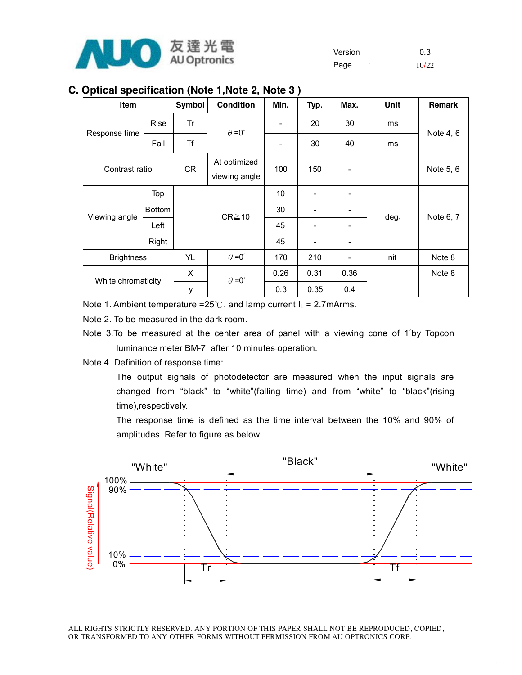

### **C. Optical specification (Note 1,Note 2, Note 3 )**

| Item               |               | Symbol    | <b>Condition</b>              | Min.                         | Typ.                     | Max. | Unit | <b>Remark</b> |
|--------------------|---------------|-----------|-------------------------------|------------------------------|--------------------------|------|------|---------------|
|                    | <b>Rise</b>   | Tr        | $\theta = 0^{\circ}$          |                              | 20                       | 30   | ms   |               |
| Response time      | Fall          | Τf        |                               | $\qquad \qquad \blacksquare$ | 30                       | 40   | ms   | Note 4, 6     |
| Contrast ratio     |               | <b>CR</b> | At optimized<br>viewing angle | 100                          | 150                      |      |      | Note 5, 6     |
|                    | Top           |           |                               | 10                           | ۰                        |      |      |               |
| Viewing angle      | <b>Bottom</b> |           | $CR \ge 10$                   | 30                           | -                        |      | deg. | Note 6, 7     |
|                    | Left          |           |                               | 45                           | ۰                        |      |      |               |
|                    | Right         |           |                               | 45                           | $\overline{\phantom{a}}$ |      |      |               |
| <b>Brightness</b>  |               | YL        | $\theta = 0^{\circ}$          | 170                          | 210                      |      | nit  | Note 8        |
| White chromaticity |               | X         | $\theta = 0^{\circ}$          | 0.26                         | 0.31                     | 0.36 |      | Note 8        |
|                    |               | у         |                               | 0.3                          | 0.35                     | 0.4  |      |               |

Note 1. Ambient temperature =25°C. and lamp current  $I_L$  = 2.7mArms.

Note 2. To be measured in the dark room.

- Note 3.To be measured at the center area of panel with a viewing cone of 1°by Topcon luminance meter BM-7, after 10 minutes operation.
- Note 4. Definition of response time:

The output signals of photodetector are measured when the input signals are changed from "black" to "white"(falling time) and from "white" to "black"(rising time),respectively.

The response time is defined as the time interval between the 10% and 90% of amplitudes. Refer to figure as below.

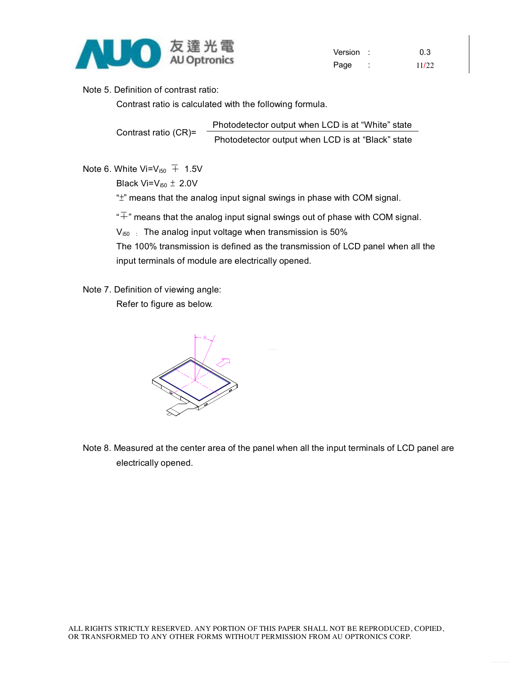

Version : 0.3 Page : 11/22

Note 5. Definition of contrast ratio:

Contrast ratio is calculated with the following formula.

Contrast ratio (CR)= Photodetector output when LCD is at "White" state Photodetector output when LCD is at "Black" state

Note 6. White Vi=V<sub>i50</sub>  $\overline{+}$  1.5V

Black Vi= $V_{i50} \pm 2.0V$ 

"±" means that the analog input signal swings in phase with COM signal.

 $\overline{F}$ " means that the analog input signal swings out of phase with COM signal.

 $V_{150}$  : The analog input voltage when transmission is 50%

The 100% transmission is defined as the transmission of LCD panel when all the input terminals of module are electrically opened.

Note 7. Definition of viewing angle:

Refer to figure as below.



Note 8. Measured at the center area of the panel when all the input terminals of LCD panel are electrically opened.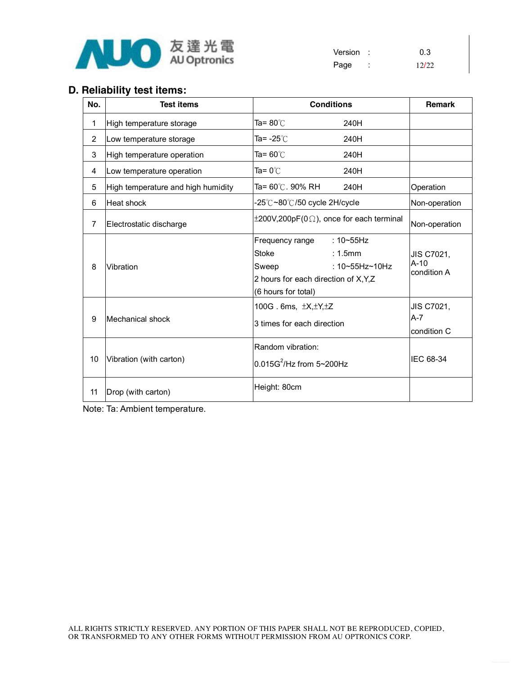

Version : 0.3 Page : 12/22

## **D. Reliability test items:**

| No.            | <b>Test items</b>                  | <b>Conditions</b>                                                                                                                                                   | <b>Remark</b>                       |
|----------------|------------------------------------|---------------------------------------------------------------------------------------------------------------------------------------------------------------------|-------------------------------------|
| $\mathbf{1}$   | High temperature storage           | Ta= 80 $\degree$ C<br>240H                                                                                                                                          |                                     |
| 2              | Low temperature storage            | Ta= -25 $°C$<br>240H                                                                                                                                                |                                     |
| 3              | High temperature operation         | Ta= 60 $\degree$ C<br>240H                                                                                                                                          |                                     |
| 4              | Low temperature operation          | Ta= $0^{\circ}$ C<br>240H                                                                                                                                           |                                     |
| 5              | High temperature and high humidity | Ta= 60℃. 90% RH<br>240H                                                                                                                                             | Operation                           |
| 6              | <b>Heat shock</b>                  | -25℃~80℃/50 cycle 2H/cycle                                                                                                                                          | Non-operation                       |
| $\overline{7}$ | Electrostatic discharge            | $\pm 200V, 200pF(0\Omega)$ , once for each terminal                                                                                                                 | Non-operation                       |
| 8              | Vibration                          | : $10 - 55$ Hz<br>Frequency range<br>: 1.5mm<br><b>Stoke</b><br>: $10 - 55$ Hz $\sim$ 10Hz<br>Sweep<br>2 hours for each direction of X, Y, Z<br>(6 hours for total) | JIS C7021,<br>$A-10$<br>condition A |
| 9              | Mechanical shock                   | 100G. 6ms, $\pm X, \pm Y, \pm Z$<br>3 times for each direction                                                                                                      | JIS C7021,<br>$A-7$<br>condition C  |
| 10             | Vibration (with carton)            | Random vibration:<br>$0.015G^2$ /Hz from 5~200Hz                                                                                                                    | IEC 68-34                           |
| 11             | Drop (with carton)                 | Height: 80cm                                                                                                                                                        |                                     |

Note: Ta: Ambient temperature.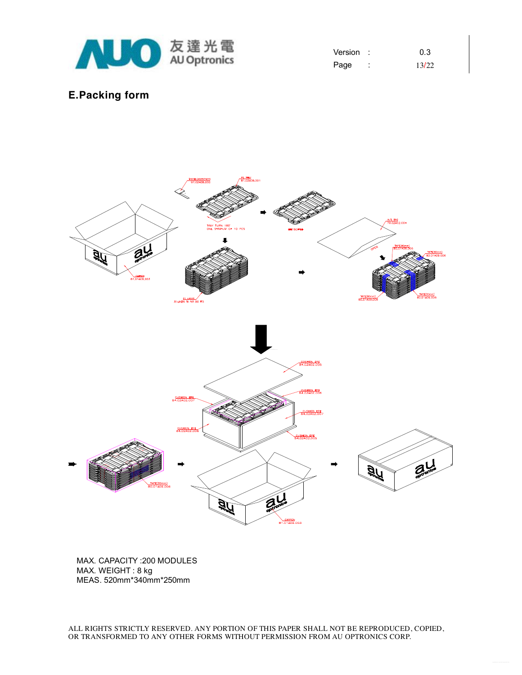

| Version |   | 0.3   |
|---------|---|-------|
| Page    | ٠ | 13/22 |

### **E.Packing form**



MAX. CAPACITY :200 MODULES MAX. WEIGHT : 8 kg MEAS. 520mm\*340mm\*250mm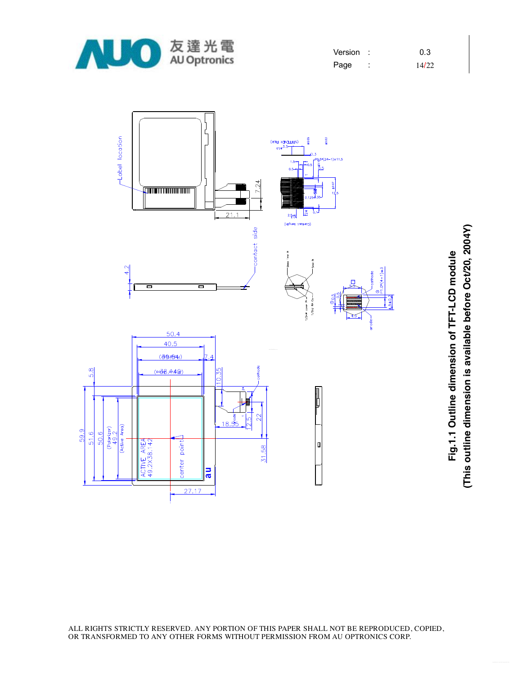

| Version |   | 0.3   |
|---------|---|-------|
| Page    | ٠ | 14/22 |



**Fig.1.1 O utlin e dim e n sio n of T F T-L** <u>ب</u> **D m o d ule (T his o utlin e dim e n sio n is a v aila ble b efore O ct/2 0, 2 0 0 4 Y)**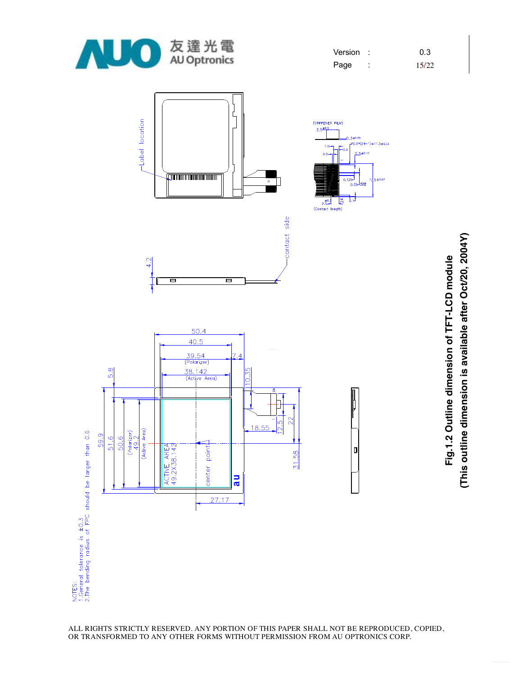

| Version | 0.3   |
|---------|-------|
| Page    | 15/22 |



**Fig.1.2 O utlin e dim e n sio n of T F T-L** <u>ب</u> **D m o d ule (T his o utlin e dim e n sio n is a v aila ble after O ct/2 0, 2 0 0 4 Y)**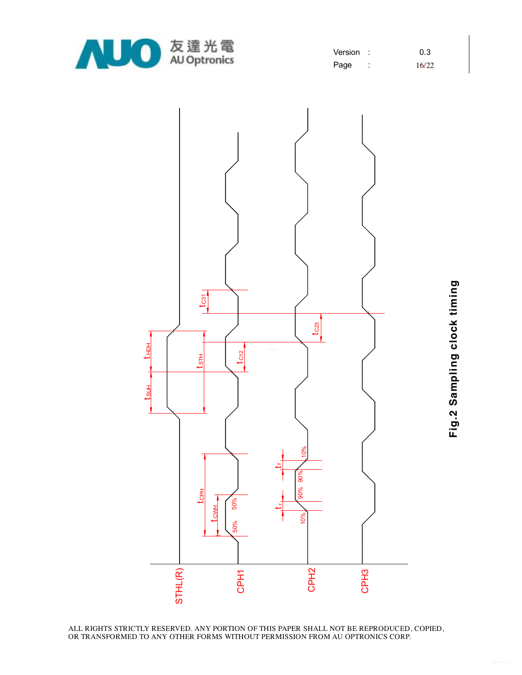

| Version |        | 0.3   |
|---------|--------|-------|
| Page    | ٠<br>٠ | 16/22 |



**Fig.2 S a m plin g clo c k timin g**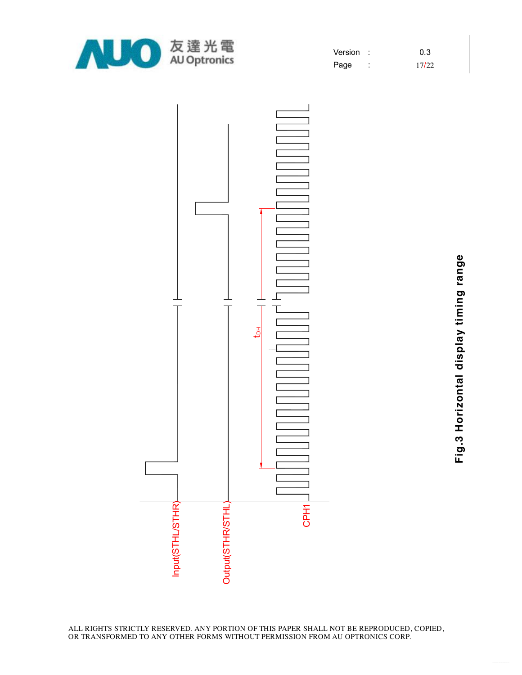

| Version | 0.3   |
|---------|-------|
| Page    | 17/22 |



**Fig.3 H oriz o ntal dis pla y timin g ra n g**

**e**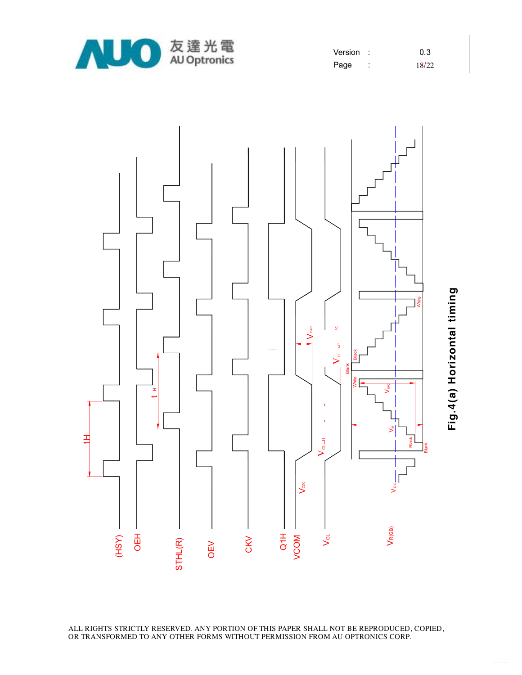

| Version |        | 0.3   |
|---------|--------|-------|
| Page    | ٠<br>٠ | 18/22 |



**Fig.4(a) H oriz o ntal timin**

**g**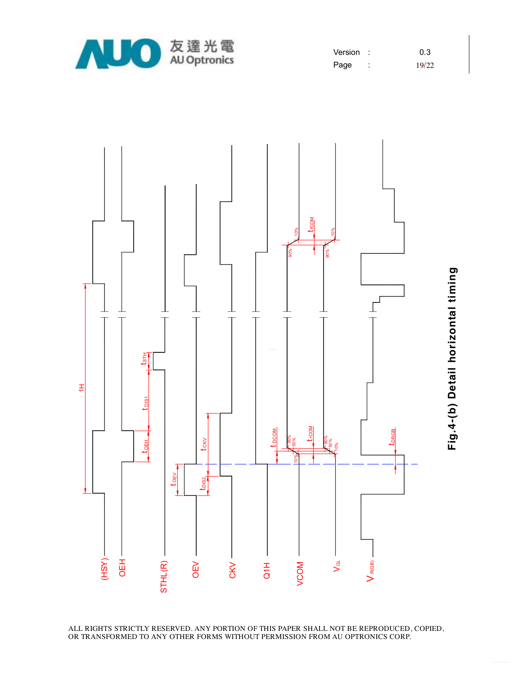

| Version: |        | 0.3   |
|----------|--------|-------|
| Page     | ٠<br>٠ | 19/22 |



**Fig.4-(b) D etail h oriz o ntal timin**

**g**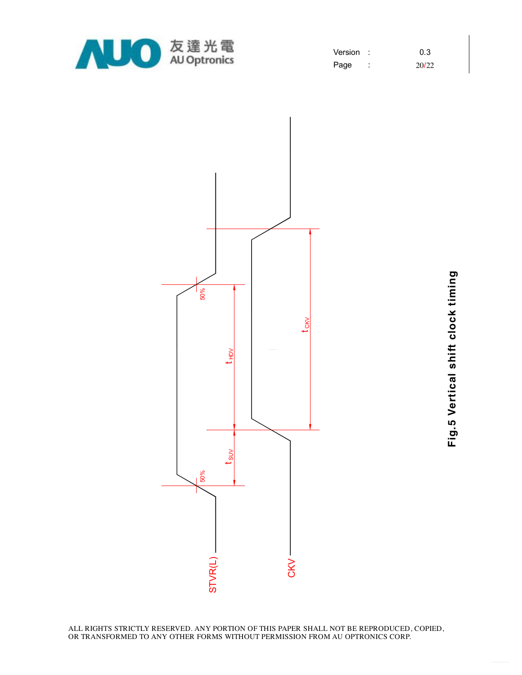

| Version | 0.3   |
|---------|-------|
| Page    | 20/22 |



**Fig.5**  $\geq$ **ertic al s hift clo c k timin g**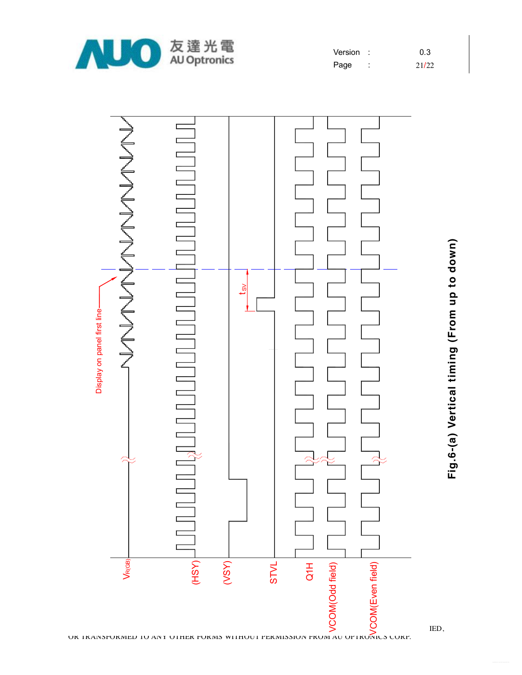

| Version |   | 0.3   |
|---------|---|-------|
| Page    | ٠ | 21/22 |



**Fig.6-(a) V ertic al timin g (Fro m u p to d o w**

**n)**